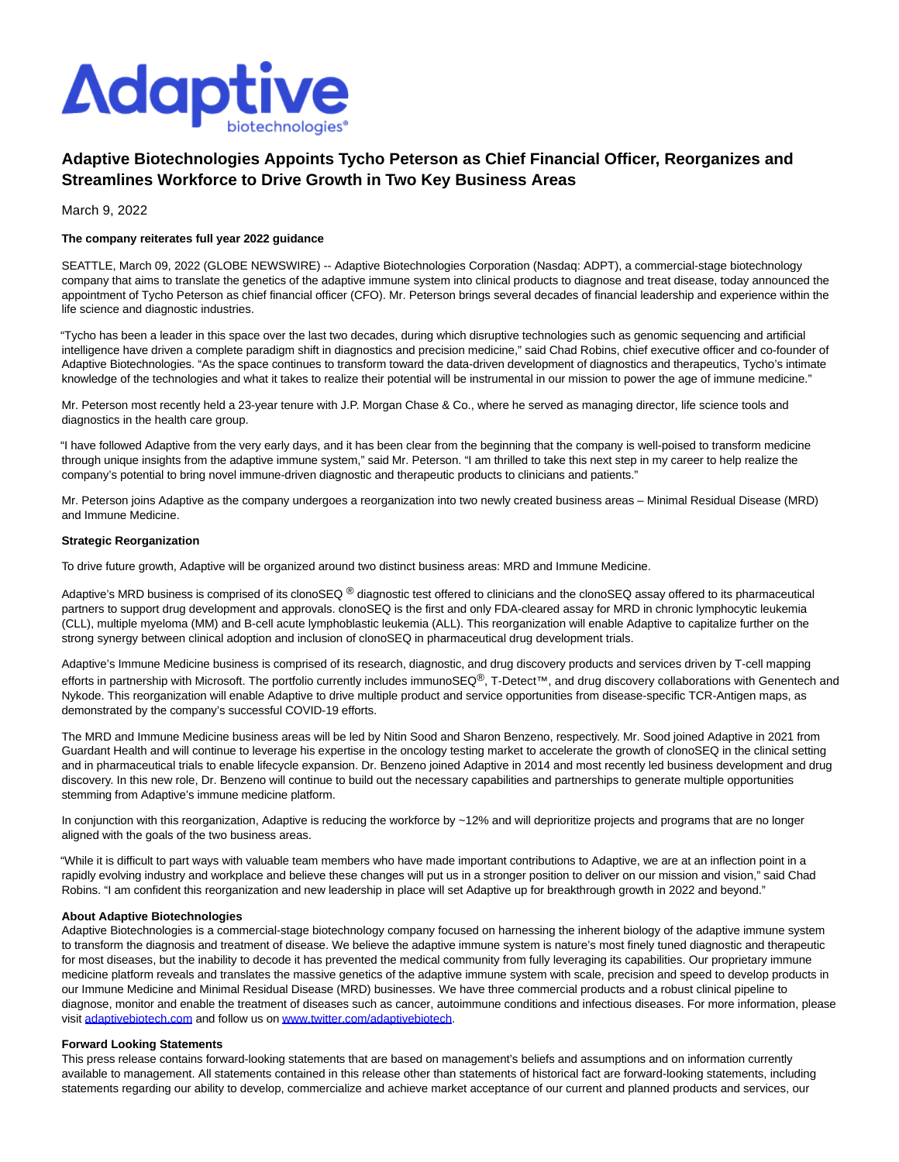

# **Adaptive Biotechnologies Appoints Tycho Peterson as Chief Financial Officer, Reorganizes and Streamlines Workforce to Drive Growth in Two Key Business Areas**

March 9, 2022

## **The company reiterates full year 2022 guidance**

SEATTLE, March 09, 2022 (GLOBE NEWSWIRE) -- Adaptive Biotechnologies Corporation (Nasdaq: ADPT), a commercial-stage biotechnology company that aims to translate the genetics of the adaptive immune system into clinical products to diagnose and treat disease, today announced the appointment of Tycho Peterson as chief financial officer (CFO). Mr. Peterson brings several decades of financial leadership and experience within the life science and diagnostic industries.

"Tycho has been a leader in this space over the last two decades, during which disruptive technologies such as genomic sequencing and artificial intelligence have driven a complete paradigm shift in diagnostics and precision medicine," said Chad Robins, chief executive officer and co-founder of Adaptive Biotechnologies. "As the space continues to transform toward the data-driven development of diagnostics and therapeutics, Tycho's intimate knowledge of the technologies and what it takes to realize their potential will be instrumental in our mission to power the age of immune medicine."

Mr. Peterson most recently held a 23-year tenure with J.P. Morgan Chase & Co., where he served as managing director, life science tools and diagnostics in the health care group.

"I have followed Adaptive from the very early days, and it has been clear from the beginning that the company is well-poised to transform medicine through unique insights from the adaptive immune system," said Mr. Peterson. "I am thrilled to take this next step in my career to help realize the company's potential to bring novel immune-driven diagnostic and therapeutic products to clinicians and patients."

Mr. Peterson joins Adaptive as the company undergoes a reorganization into two newly created business areas – Minimal Residual Disease (MRD) and Immune Medicine.

#### **Strategic Reorganization**

To drive future growth, Adaptive will be organized around two distinct business areas: MRD and Immune Medicine.

Adaptive's MRD business is comprised of its clonoSEQ ® diagnostic test offered to clinicians and the clonoSEQ assay offered to its pharmaceutical partners to support drug development and approvals. clonoSEQ is the first and only FDA-cleared assay for MRD in chronic lymphocytic leukemia (CLL), multiple myeloma (MM) and B-cell acute lymphoblastic leukemia (ALL). This reorganization will enable Adaptive to capitalize further on the strong synergy between clinical adoption and inclusion of clonoSEQ in pharmaceutical drug development trials.

Adaptive's Immune Medicine business is comprised of its research, diagnostic, and drug discovery products and services driven by T-cell mapping efforts in partnership with Microsoft. The portfolio currently includes immunoSEQ®, T-Detect™, and drug discovery collaborations with Genentech and Nykode. This reorganization will enable Adaptive to drive multiple product and service opportunities from disease-specific TCR-Antigen maps, as demonstrated by the company's successful COVID-19 efforts.

The MRD and Immune Medicine business areas will be led by Nitin Sood and Sharon Benzeno, respectively. Mr. Sood joined Adaptive in 2021 from Guardant Health and will continue to leverage his expertise in the oncology testing market to accelerate the growth of clonoSEQ in the clinical setting and in pharmaceutical trials to enable lifecycle expansion. Dr. Benzeno joined Adaptive in 2014 and most recently led business development and drug discovery. In this new role, Dr. Benzeno will continue to build out the necessary capabilities and partnerships to generate multiple opportunities stemming from Adaptive's immune medicine platform.

In conjunction with this reorganization, Adaptive is reducing the workforce by ~12% and will deprioritize projects and programs that are no longer aligned with the goals of the two business areas.

"While it is difficult to part ways with valuable team members who have made important contributions to Adaptive, we are at an inflection point in a rapidly evolving industry and workplace and believe these changes will put us in a stronger position to deliver on our mission and vision," said Chad Robins. "I am confident this reorganization and new leadership in place will set Adaptive up for breakthrough growth in 2022 and beyond."

#### **About Adaptive Biotechnologies**

Adaptive Biotechnologies is a commercial-stage biotechnology company focused on harnessing the inherent biology of the adaptive immune system to transform the diagnosis and treatment of disease. We believe the adaptive immune system is nature's most finely tuned diagnostic and therapeutic for most diseases, but the inability to decode it has prevented the medical community from fully leveraging its capabilities. Our proprietary immune medicine platform reveals and translates the massive genetics of the adaptive immune system with scale, precision and speed to develop products in our Immune Medicine and Minimal Residual Disease (MRD) businesses. We have three commercial products and a robust clinical pipeline to diagnose, monitor and enable the treatment of diseases such as cancer, autoimmune conditions and infectious diseases. For more information, please visit [adaptivebiotech.com a](https://www.globenewswire.com/Tracker?data=hROK_shne_D98yEuIWw3s5WWEE7nRMbSJrQbitaAsURX7ZdlqG9C6USu_Q4Ovlh7XpW7inbYjPlHn8uL_hfB52DECvWuV_6Od3s4nc-H-lM=)nd follow us o[n www.twitter.com/adaptivebiotech.](https://www.globenewswire.com/Tracker?data=mxY2cf4v32APgipfBDZsI3Oue9rD0fiMec7-w698rRLb6bLJ50nsQbO_2FHgmcoGdxMRrfPi34g8uMQV5_VMr_Zdt1nRhj5FIN0UBZ1OthgstS6XL6VUh3atCMHReweE)

#### **Forward Looking Statements**

This press release contains forward-looking statements that are based on management's beliefs and assumptions and on information currently available to management. All statements contained in this release other than statements of historical fact are forward-looking statements, including statements regarding our ability to develop, commercialize and achieve market acceptance of our current and planned products and services, our